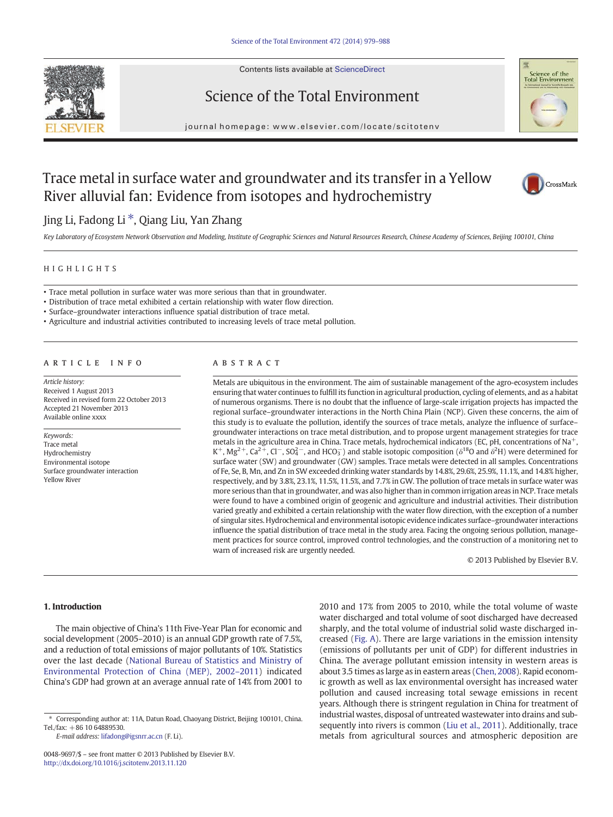

Contents lists available at ScienceDirect

# Science of the Total Environment



journal homepage: www.elsevier.com/locate/scitotenv

# Trace metal in surface water and groundwater and its transfer in a Yellow River alluvial fan: Evidence from isotopes and hydrochemistry



Jing Li, Fadong Li ⁎, Qiang Liu, Yan Zhang

Key Laboratory of Ecosystem Network Observation and Modeling, Institute of Geographic Sciences and Natural Resources Research, Chinese Academy of Sciences, Beijing 100101, China

#### HIGHLIGHTS

• Trace metal pollution in surface water was more serious than that in groundwater.

• Distribution of trace metal exhibited a certain relationship with water flow direction.

• Surface–groundwater interactions influence spatial distribution of trace metal.

• Agriculture and industrial activities contributed to increasing levels of trace metal pollution.

# article info abstract

Article history: Received 1 August 2013 Received in revised form 22 October 2013 Accepted 21 November 2013 Available online xxxx

Keywords: Trace metal Hydrochemistry Environmental isotope Surface groundwater interaction Yellow River

Metals are ubiquitous in the environment. The aim of sustainable management of the agro-ecosystem includes ensuring that water continues to fulfill its function in agricultural production, cycling of elements, and as a habitat of numerous organisms. There is no doubt that the influence of large-scale irrigation projects has impacted the regional surface–groundwater interactions in the North China Plain (NCP). Given these concerns, the aim of this study is to evaluate the pollution, identify the sources of trace metals, analyze the influence of surface– groundwater interactions on trace metal distribution, and to propose urgent management strategies for trace metals in the agriculture area in China. Trace metals, hydrochemical indicators (EC, pH, concentrations of Na<sup>+</sup>, K<sup>+</sup>, Mg<sup>2+</sup>, Ca<sup>2+</sup>, Cl<sup>-</sup>, SO<sub>4</sub><sup>-</sup>, and HCO<sub>3</sub><sup>-</sup>) and stable isotopic composition ( $\delta^{18}$ O and  $\delta^{2}$ H) were determined for surface water (SW) and groundwater (GW) samples. Trace metals were detected in all samples. Concentrations of Fe, Se, B, Mn, and Zn in SW exceeded drinking water standards by 14.8%, 29.6%, 25.9%, 11.1%, and 14.8% higher, respectively, and by 3.8%, 23.1%, 11.5%, 11.5%, and 7.7% in GW. The pollution of trace metals in surface water was more serious than that in groundwater, and was also higher than in common irrigation areas in NCP. Trace metals were found to have a combined origin of geogenic and agriculture and industrial activities. Their distribution varied greatly and exhibited a certain relationship with the water flow direction, with the exception of a number of singular sites. Hydrochemical and environmental isotopic evidence indicates surface–groundwater interactions influence the spatial distribution of trace metal in the study area. Facing the ongoing serious pollution, management practices for source control, improved control technologies, and the construction of a monitoring net to warn of increased risk are urgently needed.

© 2013 Published by Elsevier B.V.

# 1. Introduction

The main objective of China's 11th Five-Year Plan for economic and social development (2005–2010) is an annual GDP growth rate of 7.5%, and a reduction of total emissions of major pollutants of 10%. Statistics over the last decade ([National Bureau of Statistics and Ministry of](#page-9-0) [Environmental Protection of China \(MEP\), 2002](#page-9-0)–2011) indicated China's GDP had grown at an average annual rate of 14% from 2001 to

E-mail address: [lifadong@igsnrr.ac.cn](mailto:lifadong@igsnrr.ac.cn) (F. Li).

2010 and 17% from 2005 to 2010, while the total volume of waste water discharged and total volume of soot discharged have decreased sharply, and the total volume of industrial solid waste discharged increased [\(Fig. A\)](#page-7-0). There are large variations in the emission intensity (emissions of pollutants per unit of GDP) for different industries in China. The average pollutant emission intensity in western areas is about 3.5 times as large as in eastern areas [\(Chen, 2008\)](#page-9-0). Rapid economic growth as well as lax environmental oversight has increased water pollution and caused increasing total sewage emissions in recent years. Although there is stringent regulation in China for treatment of industrial wastes, disposal of untreated wastewater into drains and subsequently into rivers is common [\(Liu et al., 2011](#page-9-0)). Additionally, trace metals from agricultural sources and atmospheric deposition are

<sup>⁎</sup> Corresponding author at: 11A, Datun Road, Chaoyang District, Beijing 100101, China.  $Tel./fax: +86 10 64889530.$ 

<sup>0048-9697/\$</sup> – see front matter © 2013 Published by Elsevier B.V. <http://dx.doi.org/10.1016/j.scitotenv.2013.11.120>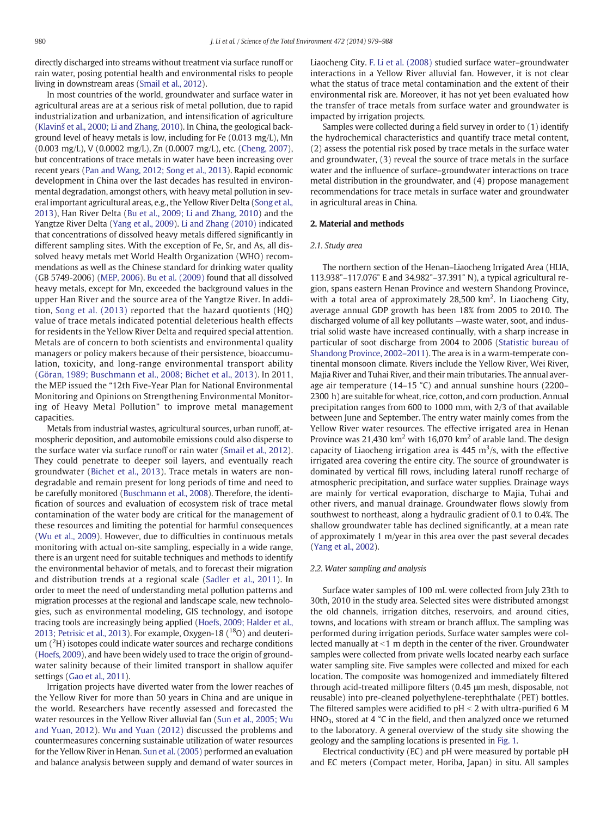directly discharged into streams without treatment via surface runoff or rain water, posing potential health and environmental risks to people living in downstream areas ([Smail et al., 2012](#page-9-0)).

In most countries of the world, groundwater and surface water in agricultural areas are at a serious risk of metal pollution, due to rapid industrialization and urbanization, and intensification of agriculture (Klavinš [et al., 2000; Li and Zhang, 2010](#page-9-0)). In China, the geological background level of heavy metals is low, including for Fe (0.013 mg/L), Mn (0.003 mg/L), V (0.0002 mg/L), Zn (0.0007 mg/L), etc. ([Cheng, 2007](#page-9-0)), but concentrations of trace metals in water have been increasing over recent years [\(Pan and Wang, 2012; Song et al., 2013](#page-9-0)). Rapid economic development in China over the last decades has resulted in environmental degradation, amongst others, with heavy metal pollution in several important agricultural areas, e.g., the Yellow River Delta ([Song et al.,](#page-9-0) [2013](#page-9-0)), Han River Delta ([Bu et al., 2009; Li and Zhang, 2010\)](#page-9-0) and the Yangtze River Delta ([Yang et al., 2009\)](#page-9-0). [Li and Zhang \(2010\)](#page-9-0) indicated that concentrations of dissolved heavy metals differed significantly in different sampling sites. With the exception of Fe, Sr, and As, all dissolved heavy metals met World Health Organization (WHO) recommendations as well as the Chinese standard for drinking water quality (GB 5749-2006) ([MEP, 2006\)](#page-9-0). [Bu et al. \(2009\)](#page-9-0) found that all dissolved heavy metals, except for Mn, exceeded the background values in the upper Han River and the source area of the Yangtze River. In addition, [Song et al. \(2013\)](#page-9-0) reported that the hazard quotients (HQ) value of trace metals indicated potential deleterious health effects for residents in the Yellow River Delta and required special attention. Metals are of concern to both scientists and environmental quality managers or policy makers because of their persistence, bioaccumulation, toxicity, and long-range environmental transport ability [\(Göran, 1989; Buschmann et al., 2008; Bichet et al., 2013\)](#page-9-0). In 2011, the MEP issued the "12th Five-Year Plan for National Environmental Monitoring and Opinions on Strengthening Environmental Monitoring of Heavy Metal Pollution" to improve metal management capacities.

Metals from industrial wastes, agricultural sources, urban runoff, atmospheric deposition, and automobile emissions could also disperse to the surface water via surface runoff or rain water ([Smail et al., 2012](#page-9-0)). They could penetrate to deeper soil layers, and eventually reach groundwater [\(Bichet et al., 2013](#page-9-0)). Trace metals in waters are nondegradable and remain present for long periods of time and need to be carefully monitored [\(Buschmann et al., 2008](#page-9-0)). Therefore, the identification of sources and evaluation of ecosystem risk of trace metal contamination of the water body are critical for the management of these resources and limiting the potential for harmful consequences [\(Wu et al., 2009\)](#page-9-0). However, due to difficulties in continuous metals monitoring with actual on-site sampling, especially in a wide range, there is an urgent need for suitable techniques and methods to identify the environmental behavior of metals, and to forecast their migration and distribution trends at a regional scale [\(Sadler et al., 2011\)](#page-9-0). In order to meet the need of understanding metal pollution patterns and migration processes at the regional and landscape scale, new technologies, such as environmental modeling, GIS technology, and isotope tracing tools are increasingly being applied ([Hoefs, 2009; Halder et al.,](#page-9-0) [2013; Petrisic et al., 2013](#page-9-0)). For example, Oxygen-18  $(^{18}O)$  and deuterium  $(^{2}H)$  isotopes could indicate water sources and recharge conditions [\(Hoefs, 2009\)](#page-9-0), and have been widely used to trace the origin of groundwater salinity because of their limited transport in shallow aquifer settings [\(Gao et al., 2011\)](#page-9-0).

Irrigation projects have diverted water from the lower reaches of the Yellow River for more than 50 years in China and are unique in the world. Researchers have recently assessed and forecasted the water resources in the Yellow River alluvial fan [\(Sun et al., 2005; Wu](#page-9-0) [and Yuan, 2012\)](#page-9-0). [Wu and Yuan \(2012\)](#page-9-0) discussed the problems and countermeasures concerning sustainable utilization of water resources for the Yellow River in Henan. [Sun et al. \(2005\)](#page-9-0) performed an evaluation and balance analysis between supply and demand of water sources in

Liaocheng City. [F. Li et al. \(2008\)](#page-9-0) studied surface water–groundwater interactions in a Yellow River alluvial fan. However, it is not clear what the status of trace metal contamination and the extent of their environmental risk are. Moreover, it has not yet been evaluated how the transfer of trace metals from surface water and groundwater is impacted by irrigation projects.

Samples were collected during a field survey in order to (1) identify the hydrochemical characteristics and quantify trace metal content, (2) assess the potential risk posed by trace metals in the surface water and groundwater, (3) reveal the source of trace metals in the surface water and the influence of surface–groundwater interactions on trace metal distribution in the groundwater, and (4) propose management recommendations for trace metals in surface water and groundwater in agricultural areas in China.

### 2. Material and methods

#### 2.1. Study area

The northern section of the Henan–Liaocheng Irrigated Area (HLIA, 113.938°–117.076° E and 34.982°–37.391° N), a typical agricultural region, spans eastern Henan Province and western Shandong Province, with a total area of approximately  $28,500$  km<sup>2</sup>. In Liaocheng City, average annual GDP growth has been 18% from 2005 to 2010. The discharged volume of all key pollutants —waste water, soot, and industrial solid waste have increased continually, with a sharp increase in particular of soot discharge from 2004 to 2006 ([Statistic bureau of](#page-9-0) [Shandong Province, 2002](#page-9-0)–2011). The area is in a warm-temperate continental monsoon climate. Rivers include the Yellow River, Wei River, Majia River and Tuhai River, and their main tributaries. The annual average air temperature (14–15 °C) and annual sunshine hours (2200– 2300 h) are suitable for wheat, rice, cotton, and corn production. Annual precipitation ranges from 600 to 1000 mm, with 2/3 of that available between June and September. The entry water mainly comes from the Yellow River water resources. The effective irrigated area in Henan Province was 21,430 km<sup>2</sup> with 16,070 km<sup>2</sup> of arable land. The design capacity of Liaocheng irrigation area is  $445 \text{ m}^3\text{/s}$ , with the effective irrigated area covering the entire city. The source of groundwater is dominated by vertical fill rows, including lateral runoff recharge of atmospheric precipitation, and surface water supplies. Drainage ways are mainly for vertical evaporation, discharge to Majia, Tuhai and other rivers, and manual drainage. Groundwater flows slowly from southwest to northeast, along a hydraulic gradient of 0.1 to 0.4%. The shallow groundwater table has declined significantly, at a mean rate of approximately 1 m/year in this area over the past several decades [\(Yang et al., 2002\)](#page-9-0).

#### 2.2. Water sampling and analysis

Surface water samples of 100 mL were collected from July 23th to 30th, 2010 in the study area. Selected sites were distributed amongst the old channels, irrigation ditches, reservoirs, and around cities, towns, and locations with stream or branch afflux. The sampling was performed during irrigation periods. Surface water samples were collected manually at  $<$ 1 m depth in the center of the river. Groundwater samples were collected from private wells located nearby each surface water sampling site. Five samples were collected and mixed for each location. The composite was homogenized and immediately filtered through acid-treated millipore filters (0.45 μm mesh, disposable, not reusable) into pre-cleaned polyethylene-terephthalate (PET) bottles. The filtered samples were acidified to  $pH < 2$  with ultra-purified 6 M HNO<sub>3</sub>, stored at 4 °C in the field, and then analyzed once we returned to the laboratory. A general overview of the study site showing the geology and the sampling locations is presented in [Fig. 1.](#page-2-0)

Electrical conductivity (EC) and pH were measured by portable pH and EC meters (Compact meter, Horiba, Japan) in situ. All samples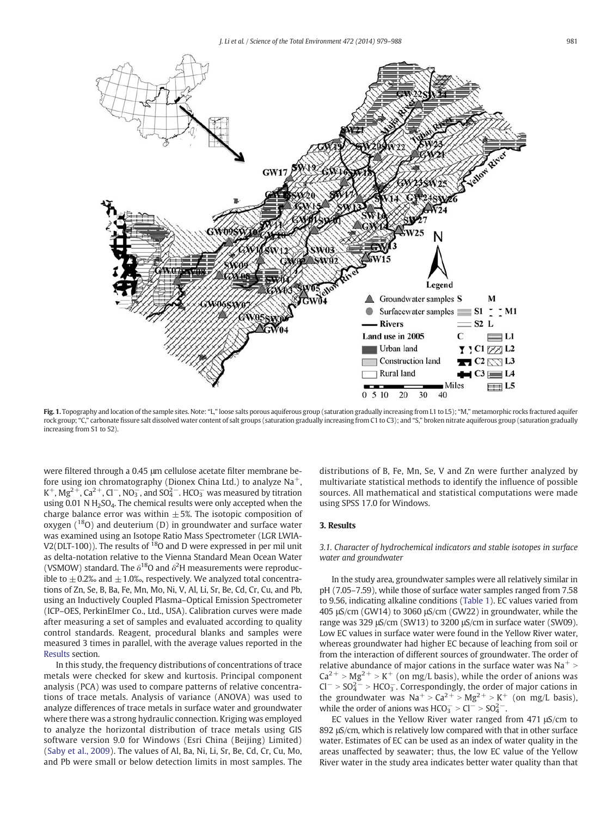<span id="page-2-0"></span>

Fig. 1. Topography and location of the sample sites. Note: "L," loose salts porous aquiferous group (saturation gradually increasing from L1 to L5); "M," metamorphic rocks fractured aquifer rock group; "C," carbonate fissure salt dissolved water content of salt groups (saturation gradually increasing from C1 to C3); and "S," broken nitrate aquiferous group (saturation gradually increasing from S1 to S2).

were filtered through a 0.45 μm cellulose acetate filter membrane before using ion chromatography (Dionex China Ltd.) to analyze  $Na<sup>+</sup>$ , K<sup>+</sup>, Mg<sup>2+</sup>, Ca<sup>2+</sup>, Cl<sup>−</sup>, NO<sub>3</sub><sup>,</sup> and SO<sub>4</sub><sup>-</sup>. HCO<sub>3</sub><sup> $-$ </sup> was measured by titration using 0.01 N  $H<sub>2</sub>SO<sub>4</sub>$ . The chemical results were only accepted when the charge balance error was within  $\pm$  5%. The isotopic composition of oxygen  $(^{18}O)$  and deuterium (D) in groundwater and surface water was examined using an Isotope Ratio Mass Spectrometer (LGR LWIA-V2(DLT-100)). The results of  $^{18}O$  and D were expressed in per mil unit as delta-notation relative to the Vienna Standard Mean Ocean Water (VSMOW) standard. The  $\delta^{18}$ O and  $\delta^2$ H measurements were reproducible to  $\pm$  0.2‰ and  $\pm$  1.0‰, respectively. We analyzed total concentrations of Zn, Se, B, Ba, Fe, Mn, Mo, Ni, V, Al, Li, Sr, Be, Cd, Cr, Cu, and Pb, using an Inductively Coupled Plasma–Optical Emission Spectrometer (ICP–OES, PerkinElmer Co., Ltd., USA). Calibration curves were made after measuring a set of samples and evaluated according to quality control standards. Reagent, procedural blanks and samples were measured 3 times in parallel, with the average values reported in the Results section.

In this study, the frequency distributions of concentrations of trace metals were checked for skew and kurtosis. Principal component analysis (PCA) was used to compare patterns of relative concentrations of trace metals. Analysis of variance (ANOVA) was used to analyze differences of trace metals in surface water and groundwater where there was a strong hydraulic connection. Kriging was employed to analyze the horizontal distribution of trace metals using GIS software version 9.0 for Windows (Esri China (Beijing) Limited) [\(Saby et al., 2009\)](#page-9-0). The values of Al, Ba, Ni, Li, Sr, Be, Cd, Cr, Cu, Mo, and Pb were small or below detection limits in most samples. The distributions of B, Fe, Mn, Se, V and Zn were further analyzed by multivariate statistical methods to identify the influence of possible sources. All mathematical and statistical computations were made using SPSS 17.0 for Windows.

# 3. Results

# 3.1. Character of hydrochemical indicators and stable isotopes in surface water and groundwater

In the study area, groundwater samples were all relatively similar in pH (7.05–7.59), while those of surface water samples ranged from 7.58 to 9.56, indicating alkaline conditions [\(Table 1](#page-3-0)). EC values varied from 405 μS/cm (GW14) to 3060 μS/cm (GW22) in groundwater, while the range was 329 μS/cm (SW13) to 3200 μS/cm in surface water (SW09). Low EC values in surface water were found in the Yellow River water, whereas groundwater had higher EC because of leaching from soil or from the interaction of different sources of groundwater. The order of relative abundance of major cations in the surface water was  $\text{Na}^+$  >  $Ca^{2+} > Mg^{2+} > K^+$  (on mg/L basis), while the order of anions was  $Cl^-$  >  $SO_4^2$  > HCO<sub>3</sub>. Correspondingly, the order of major cations in the groundwater was  $Na^+ > Ca^{2+} > Mg^{2+} > K^+$  (on mg/L basis), while the order of anions was  $HCO_3^- > Cl^- > SO_4^{2-}$ .

EC values in the Yellow River water ranged from 471 μS/cm to 892 μS/cm, which is relatively low compared with that in other surface water. Estimates of EC can be used as an index of water quality in the areas unaffected by seawater; thus, the low EC value of the Yellow River water in the study area indicates better water quality than that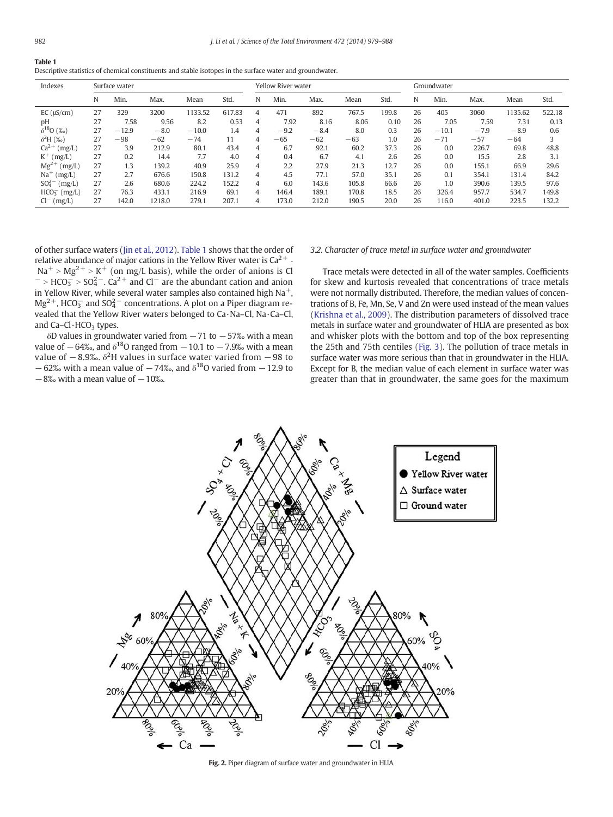<span id="page-3-0"></span>

| Descriptive statistics of chemical constituents and stable isotopes in the surface water and groundwater. |  |  |
|-----------------------------------------------------------------------------------------------------------|--|--|
|                                                                                                           |  |  |

| Indexes                                | Surface water |         |        |         | Yellow River water |   |        |        | Groundwater |       |    |         |        |         |        |
|----------------------------------------|---------------|---------|--------|---------|--------------------|---|--------|--------|-------------|-------|----|---------|--------|---------|--------|
|                                        | N             | Min.    | Max.   | Mean    | Std.               | N | Min.   | Max.   | Mean        | Std.  | N  | Min.    | Max.   | Mean    | Std.   |
| $EC(\mu S/cm)$                         | 27            | 329     | 3200   | 1133.52 | 617.83             | 4 | 471    | 892    | 767.5       | 199.8 | 26 | 405     | 3060   | 1135.62 | 522.18 |
| pH                                     | 27            | 7.58    | 9.56   | 8.2     | 0.53               | 4 | 7.92   | 8.16   | 8.06        | 0.10  | 26 | 7.05    | 7.59   | 7.31    | 0.13   |
| $\delta^{18}O($ %o)                    | 27            | $-12.9$ | $-8.0$ | $-10.0$ | 1.4                | 4 | $-9.2$ | $-8.4$ | 8.0         | 0.3   | 26 | $-10.1$ | $-7.9$ | $-8.9$  | 0.6    |
| $\delta^2$ H (‰)                       | 27            | $-98$   | $-62$  | $-74$   | 11                 | 4 | $-65$  | $-62$  | $-63$       | 1.0   | 26 | $-71$   | $-57$  | $-64$   | 3      |
| $Ca^{2+} (mg/L)$                       | 27            | 3.9     | 212.9  | 80.1    | 43.4               | 4 | 6.7    | 92.1   | 60.2        | 37.3  | 26 | 0.0     | 226.7  | 69.8    | 48.8   |
| $K^+$ (mg/L)                           | 27            | 0.2     | 14.4   | 7.7     | 4.0                | 4 | 0.4    | 6.7    | 4.1         | 2.6   | 26 | 0.0     | 15.5   | 2.8     | 3.1    |
| $Mg^{2+}$<br>(mg/L)                    | 27            | 1.3     | 139.2  | 40.9    | 25.9               | 4 | 2.2    | 27.9   | 21.3        | 12.7  | 26 | 0.0     | 155.1  | 66.9    | 29.6   |
| $Na+$<br>(mg/L)                        | 27            | 2.7     | 676.6  | 150.8   | 131.2              | 4 | 4.5    | 77.1   | 57.0        | 35.1  | 26 | 0.1     | 354.1  | 131.4   | 84.2   |
| SO <sub>4</sub> <sup>2</sup><br>(mg/L) | 27            | 2.6     | 680.6  | 224.2   | 152.2              | 4 | 6.0    | 143.6  | 105.8       | 66.6  | 26 | 1.0     | 390.6  | 139.5   | 97.6   |
| $HCO3-$ (mg/L)                         | 27            | 76.3    | 433.1  | 216.9   | 69.1               | 4 | 146.4  | 189.1  | 170.8       | 18.5  | 26 | 326.4   | 957.7  | 534.7   | 149.8  |
| $Cl^{-}$ (mg/L)                        | 27            | 142.0   | 1218.0 | 279.1   | 207.1              | 4 | 173.0  | 212.0  | 190.5       | 20.0  | 26 | 116.0   | 401.0  | 223.5   | 132.2  |

of other surface waters ([Jin et al., 2012\)](#page-9-0). Table 1 shows that the order of relative abundance of major cations in the Yellow River water is  $Ca^{2+}$  - $Na<sup>+</sup> > Mg<sup>2+</sup> > K<sup>+</sup>$  (on mg/L basis), while the order of anions is Cl  $^{-}$  > HCO<sub>3</sub> > SO<sub>4</sub><sup>2</sup> - Ca<sup>2+</sup> and Cl<sup>-</sup> are the abundant cation and anion in Yellow River, while several water samples also contained high  $Na<sup>+</sup>$ ,  $Mg^{2+}$ , HCO<sub>3</sub> and SO<sub>4</sub><sup>-</sup> concentrations. A plot on a Piper diagram revealed that the Yellow River waters belonged to Ca·Na–Cl, Na·Ca–Cl, and  $Ca-Cl·HCO<sub>3</sub>$  types.

δD values in groundwater varied from  $-71$  to  $-57%$  with a mean value of  $-64\%$ , and  $\delta^{18}$ O ranged from  $-10.1$  to  $-7.9\%$  with a mean value of  $-8.9\%$ .  $\delta^2$ H values in surface water varied from  $-98$  to  $-62%$  with a mean value of  $-74%$ , and  $\delta^{18}$ O varied from  $-12.9$  to  $-8\%$  with a mean value of  $-10\%$ .

#### 3.2. Character of trace metal in surface water and groundwater

Trace metals were detected in all of the water samples. Coefficients for skew and kurtosis revealed that concentrations of trace metals were not normally distributed. Therefore, the median values of concentrations of B, Fe, Mn, Se, V and Zn were used instead of the mean values [\(Krishna et al., 2009\)](#page-9-0). The distribution parameters of dissolved trace metals in surface water and groundwater of HLIA are presented as box and whisker plots with the bottom and top of the box representing the 25th and 75th centiles ([Fig. 3\)](#page-4-0). The pollution of trace metals in surface water was more serious than that in groundwater in the HLIA. Except for B, the median value of each element in surface water was greater than that in groundwater, the same goes for the maximum



Fig. 2. Piper diagram of surface water and groundwater in HLIA.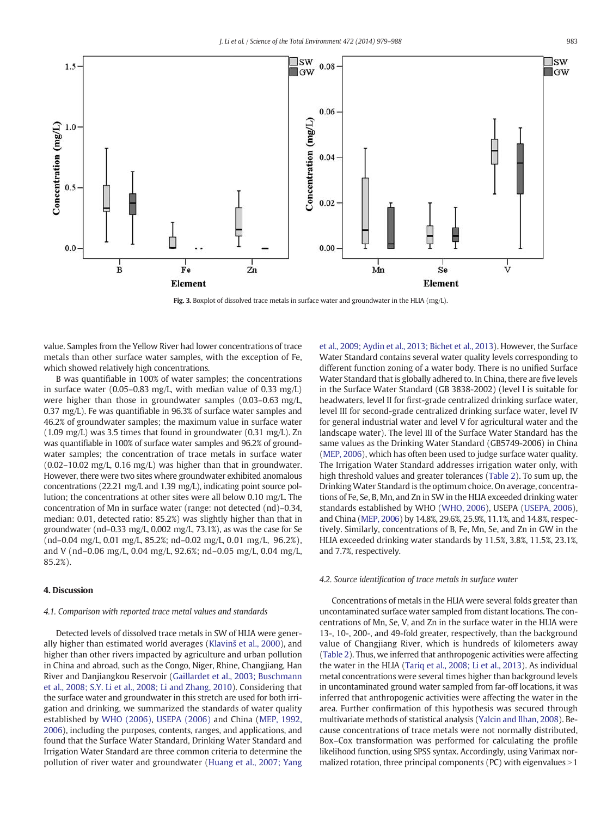<span id="page-4-0"></span>

Fig. 3. Boxplot of dissolved trace metals in surface water and groundwater in the HLIA (mg/L).

value. Samples from the Yellow River had lower concentrations of trace metals than other surface water samples, with the exception of Fe, which showed relatively high concentrations.

B was quantifiable in 100% of water samples; the concentrations in surface water (0.05–0.83 mg/L, with median value of 0.33 mg/L) were higher than those in groundwater samples (0.03–0.63 mg/L, 0.37 mg/L). Fe was quantifiable in 96.3% of surface water samples and 46.2% of groundwater samples; the maximum value in surface water (1.09 mg/L) was 3.5 times that found in groundwater (0.31 mg/L). Zn was quantifiable in 100% of surface water samples and 96.2% of groundwater samples; the concentration of trace metals in surface water (0.02–10.02 mg/L, 0.16 mg/L) was higher than that in groundwater. However, there were two sites where groundwater exhibited anomalous concentrations (22.21 mg/L and 1.39 mg/L), indicating point source pollution; the concentrations at other sites were all below 0.10 mg/L. The concentration of Mn in surface water (range: not detected (nd)–0.34, median: 0.01, detected ratio: 85.2%) was slightly higher than that in groundwater (nd–0.33 mg/L, 0.002 mg/L, 73.1%), as was the case for Se (nd–0.04 mg/L, 0.01 mg/L, 85.2%; nd–0.02 mg/L, 0.01 mg/L, 96.2%), and V (nd–0.06 mg/L, 0.04 mg/L, 92.6%; nd–0.05 mg/L, 0.04 mg/L, 85.2%).

# 4. Discussion

#### 4.1. Comparison with reported trace metal values and standards

Detected levels of dissolved trace metals in SW of HLIA were generally higher than estimated world averages (Klavinš [et al., 2000](#page-9-0)), and higher than other rivers impacted by agriculture and urban pollution in China and abroad, such as the Congo, Niger, Rhine, Changjiang, Han River and Danjiangkou Reservoir [\(Gaillardet et al., 2003; Buschmann](#page-9-0) [et al., 2008; S.Y. Li et al., 2008; Li and Zhang, 2010](#page-9-0)). Considering that the surface water and groundwater in this stretch are used for both irrigation and drinking, we summarized the standards of water quality established by [WHO \(2006\)](#page-9-0), [USEPA \(2006\)](#page-9-0) and China ([MEP, 1992,](#page-9-0) [2006\)](#page-9-0), including the purposes, contents, ranges, and applications, and found that the Surface Water Standard, Drinking Water Standard and Irrigation Water Standard are three common criteria to determine the pollution of river water and groundwater ([Huang et al., 2007; Yang](#page-9-0) [et al., 2009; Aydin et al., 2013; Bichet et al., 2013\)](#page-9-0). However, the Surface Water Standard contains several water quality levels corresponding to different function zoning of a water body. There is no unified Surface Water Standard that is globally adhered to. In China, there are five levels in the Surface Water Standard (GB 3838-2002) (level I is suitable for headwaters, level II for first-grade centralized drinking surface water, level III for second-grade centralized drinking surface water, level IV for general industrial water and level V for agricultural water and the landscape water). The level III of the Surface Water Standard has the same values as the Drinking Water Standard (GB5749-2006) in China [\(MEP, 2006](#page-9-0)), which has often been used to judge surface water quality. The Irrigation Water Standard addresses irrigation water only, with high threshold values and greater tolerances [\(Table 2\)](#page-5-0). To sum up, the Drinking Water Standard is the optimum choice. On average, concentrations of Fe, Se, B, Mn, and Zn in SW in the HLIA exceeded drinking water standards established by WHO [\(WHO, 2006\)](#page-9-0), USEPA [\(USEPA, 2006](#page-9-0)), and China [\(MEP, 2006](#page-9-0)) by 14.8%, 29.6%, 25.9%, 11.1%, and 14.8%, respectively. Similarly, concentrations of B, Fe, Mn, Se, and Zn in GW in the HLIA exceeded drinking water standards by 11.5%, 3.8%, 11.5%, 23.1%, and 7.7%, respectively.

#### 4.2. Source identification of trace metals in surface water

Concentrations of metals in the HLIA were several folds greater than uncontaminated surface water sampled from distant locations. The concentrations of Mn, Se, V, and Zn in the surface water in the HLIA were 13-, 10-, 200-, and 49-fold greater, respectively, than the background value of Changjiang River, which is hundreds of kilometers away [\(Table 2](#page-5-0)). Thus, we inferred that anthropogenic activities were affecting the water in the HLIA [\(Tariq et al., 2008; Li et al., 2013\)](#page-9-0). As individual metal concentrations were several times higher than background levels in uncontaminated ground water sampled from far-off locations, it was inferred that anthropogenic activities were affecting the water in the area. Further confirmation of this hypothesis was secured through multivariate methods of statistical analysis [\(Yalcin and Ilhan, 2008\)](#page-9-0). Because concentrations of trace metals were not normally distributed, Box–Cox transformation was performed for calculating the profile likelihood function, using SPSS syntax. Accordingly, using Varimax normalized rotation, three principal components ( $PC$ ) with eigenvalues  $>1$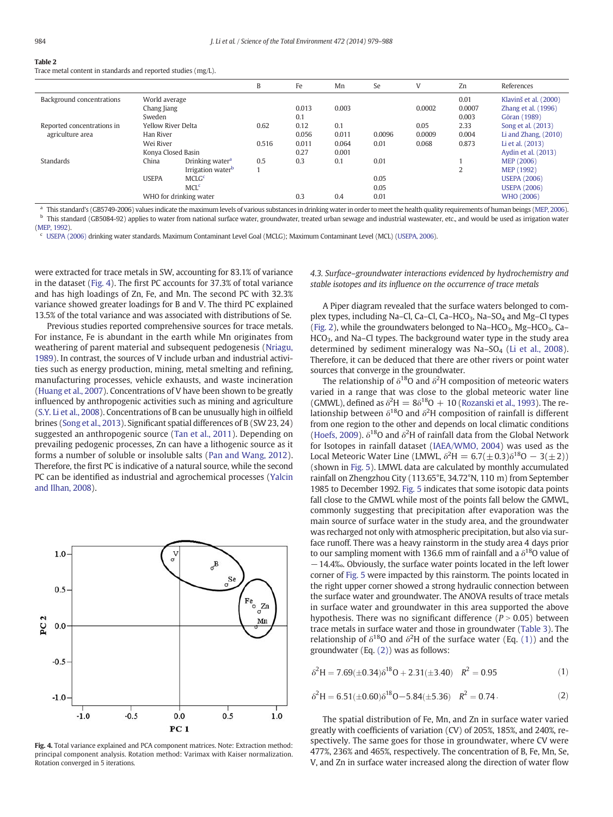<span id="page-5-0"></span>

|--|--|--|--|--|

Trace metal content in standards and reported studies (mg/L).

|                            |                              |                               | B     | Fe    | Mn    | Se     |        | Zn             | References                                   |
|----------------------------|------------------------------|-------------------------------|-------|-------|-------|--------|--------|----------------|----------------------------------------------|
| Background concentrations  | World average<br>Chang Jiang |                               |       | 0.013 | 0.003 |        | 0.0002 | 0.01<br>0.0007 | Klavinš et al. (2000)<br>Zhang et al. (1996) |
|                            | Sweden                       |                               |       | 0.1   |       |        |        | 0.003          | Göran (1989)                                 |
| Reported concentrations in | Yellow River Delta           |                               | 0.62  | 0.12  | 0.1   |        | 0.05   | 2.33           | Song et al. (2013)                           |
| agriculture area           | Han River                    |                               |       | 0.056 | 0.011 | 0.0096 | 0.0009 | 0.004          | Li and Zhang, $(2010)$                       |
|                            | Wei River                    |                               | 0.516 | 0.011 | 0.064 | 0.01   | 0.068  | 0.873          | Li et al. (2013)                             |
| Konva Closed Basin         |                              |                               |       | 0.27  | 0.001 |        |        |                | Aydin et al. (2013)                          |
| Standards                  | China                        | Drinking water <sup>a</sup>   | 0.5   | 0.3   | 0.1   | 0.01   |        |                | MEP (2006)                                   |
|                            |                              | Irrigation water <sup>b</sup> |       |       |       |        |        | 2              | MEP (1992)                                   |
|                            | <b>USEPA</b>                 | MCLG <sup>c</sup>             |       |       |       | 0.05   |        |                | <b>USEPA (2006)</b>                          |
|                            |                              | MCL <sup>c</sup>              |       |       |       | 0.05   |        |                | <b>USEPA (2006)</b>                          |
|                            |                              | WHO for drinking water        |       | 0.3   | 0.4   | 0.01   |        |                | WHO (2006)                                   |

a This standard's (GB5749-2006) values indicate the maximum levels of various substances in drinking water in order to meet the health quality requirements of human beings ([MEP, 2006\)](#page-9-0). <sup>b</sup> This standard (GB5084-92) applies to water from national surface water, groundwater, treated urban sewage and industrial wastewater, etc., and would be used as irrigation water [\(MEP, 1992\)](#page-9-0).

<sup>c</sup> [USEPA \(2006\)](#page-9-0) drinking water standards. Maximum Contaminant Level Goal (MCLG); Maximum Contaminant Level (MCL) [\(USEPA, 2006\)](#page-9-0).

were extracted for trace metals in SW, accounting for 83.1% of variance in the dataset (Fig. 4). The first PC accounts for 37.3% of total variance and has high loadings of Zn, Fe, and Mn. The second PC with 32.3% variance showed greater loadings for B and V. The third PC explained 13.5% of the total variance and was associated with distributions of Se.

Previous studies reported comprehensive sources for trace metals. For instance, Fe is abundant in the earth while Mn originates from weathering of parent material and subsequent pedogenesis [\(Nriagu,](#page-9-0) [1989\)](#page-9-0). In contrast, the sources of V include urban and industrial activities such as energy production, mining, metal smelting and refining, manufacturing processes, vehicle exhausts, and waste incineration [\(Huang et al., 2007](#page-9-0)). Concentrations of V have been shown to be greatly influenced by anthropogenic activities such as mining and agriculture [\(S.Y. Li et al., 2008\)](#page-9-0). Concentrations of B can be unusually high in oilfield brines ([Song et al., 2013](#page-9-0)). Significant spatial differences of B (SW 23, 24) suggested an anthropogenic source [\(Tan et al., 2011](#page-9-0)). Depending on prevailing pedogenic processes, Zn can have a lithogenic source as it forms a number of soluble or insoluble salts ([Pan and Wang, 2012](#page-9-0)). Therefore, the first PC is indicative of a natural source, while the second PC can be identified as industrial and agrochemical processes ([Yalcin](#page-9-0) [and Ilhan, 2008\)](#page-9-0).



Fig. 4. Total variance explained and PCA component matrices. Note: Extraction method: principal component analysis. Rotation method: Varimax with Kaiser normalization. Rotation converged in 5 iterations.

4.3. Surface–groundwater interactions evidenced by hydrochemistry and stable isotopes and its influence on the occurrence of trace metals

A Piper diagram revealed that the surface waters belonged to complex types, including Na–Cl, Ca–Cl, Ca–HCO<sub>3</sub>, Na–SO<sub>4</sub> and Mg–Cl types [\(Fig. 2\)](#page-3-0), while the groundwaters belonged to Na–HCO<sub>3</sub>, Mg–HCO<sub>3</sub>, Ca–  $HCO<sub>3</sub>$ , and Na–Cl types. The background water type in the study area determined by sediment mineralogy was Na-SO<sub>4</sub> [\(Li et al., 2008](#page-9-0)). Therefore, it can be deduced that there are other rivers or point water sources that converge in the groundwater.

The relationship of  $\delta^{18}$ O and  $\delta^2$ H composition of meteoric waters varied in a range that was close to the global meteoric water line (GMWL), defined as  $\delta^2 H = 8\delta^{18}O + 10$  ([Rozanski et al., 1993](#page-9-0)). The relationship between  $\delta^{18}$ O and  $\delta^{2}$ H composition of rainfall is different from one region to the other and depends on local climatic conditions [\(Hoefs, 2009](#page-9-0)).  $\delta^{18}$ O and  $\delta^2$ H of rainfall data from the Global Network for Isotopes in rainfall dataset ([IAEA/WMO, 2004](#page-9-0)) was used as the Local Meteoric Water Line (LMWL,  $\delta^2 H = 6.7(\pm 0.3)\delta^{18}O - 3(\pm 2)$ ) (shown in [Fig. 5\)](#page-6-0). LMWL data are calculated by monthly accumulated rainfall on Zhengzhou City (113.65°E, 34.72°N, 110 m) from September 1985 to December 1992. [Fig. 5](#page-6-0) indicates that some isotopic data points fall close to the GMWL while most of the points fall below the GMWL, commonly suggesting that precipitation after evaporation was the main source of surface water in the study area, and the groundwater was recharged not only with atmospheric precipitation, but also via surface runoff. There was a heavy rainstorm in the study area 4 days prior to our sampling moment with 136.6 mm of rainfall and a  $\delta^{18}$ O value of −14.4‰. Obviously, the surface water points located in the left lower corner of [Fig. 5](#page-6-0) were impacted by this rainstorm. The points located in the right upper corner showed a strong hydraulic connection between the surface water and groundwater. The ANOVA results of trace metals in surface water and groundwater in this area supported the above hypothesis. There was no significant difference  $(P > 0.05)$  between trace metals in surface water and those in groundwater [\(Table 3](#page-6-0)). The relationship of  $\delta^{18}$ O and  $\delta^2$ H of the surface water (Eq. (1)) and the groundwater (Eq. (2)) was as follows:

$$
\delta^2 H = 7.69(\pm 0.34)\delta^{18}O + 2.31(\pm 3.40) \quad R^2 = 0.95\tag{1}
$$

$$
\delta^2 H = 6.51(\pm 0.60)\delta^{18}O - 5.84(\pm 5.36) \quad R^2 = 0.74\,. \tag{2}
$$

The spatial distribution of Fe, Mn, and Zn in surface water varied greatly with coefficients of variation (CV) of 205%, 185%, and 240%, respectively. The same goes for those in groundwater, where CV were 477%, 236% and 465%, respectively. The concentration of B, Fe, Mn, Se, V, and Zn in surface water increased along the direction of water flow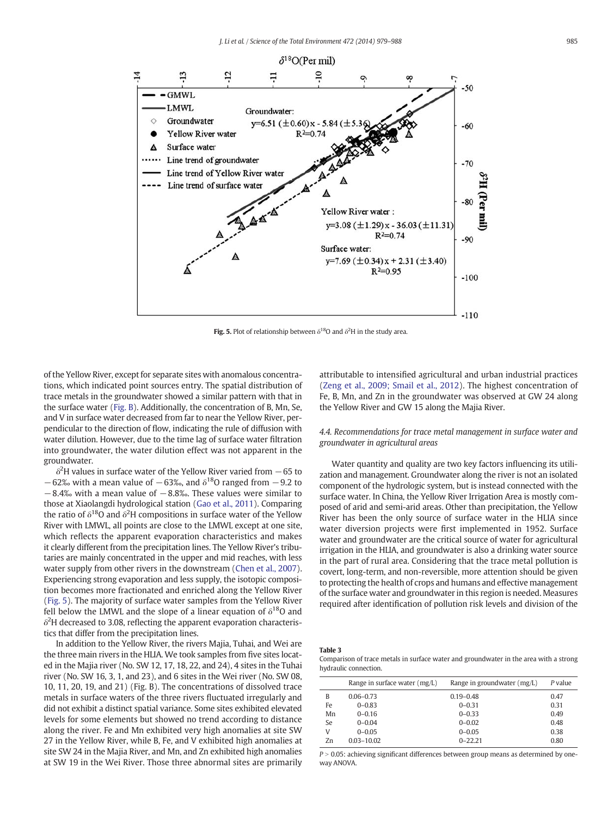<span id="page-6-0"></span>

Fig. 5. Plot of relationship between  $\delta^{18}O$  and  $\delta^2H$  in the study area.

of the Yellow River, except for separate sites with anomalous concentrations, which indicated point sources entry. The spatial distribution of trace metals in the groundwater showed a similar pattern with that in the surface water [\(Fig. B](#page-8-0)). Additionally, the concentration of B, Mn, Se, and V in surface water decreased from far to near the Yellow River, perpendicular to the direction of flow, indicating the rule of diffusion with water dilution. However, due to the time lag of surface water filtration into groundwater, the water dilution effect was not apparent in the groundwater.

 $\delta^2$ H values in surface water of the Yellow River varied from  $-65$  to −62‰ with a mean value of −63‰, and  $\delta^{18}$ O ranged from −9.2 to  $-8.4%$  with a mean value of  $-8.8%$ . These values were similar to those at Xiaolangdi hydrological station [\(Gao et al., 2011\)](#page-9-0). Comparing the ratio of  $\delta^{18}$ O and  $\delta^2$ H compositions in surface water of the Yellow River with LMWL, all points are close to the LMWL except at one site, which reflects the apparent evaporation characteristics and makes it clearly different from the precipitation lines. The Yellow River's tributaries are mainly concentrated in the upper and mid reaches, with less water supply from other rivers in the downstream ([Chen et al., 2007](#page-9-0)). Experiencing strong evaporation and less supply, the isotopic composition becomes more fractionated and enriched along the Yellow River (Fig. 5). The majority of surface water samples from the Yellow River fell below the LMWL and the slope of a linear equation of  $\delta^{18}O$  and  $\delta^2$ H decreased to 3.08, reflecting the apparent evaporation characteristics that differ from the precipitation lines.

In addition to the Yellow River, the rivers Majia, Tuhai, and Wei are the three main rivers in the HLIA. We took samples from five sites located in the Majia river (No. SW 12, 17, 18, 22, and 24), 4 sites in the Tuhai river (No. SW 16, 3, 1, and 23), and 6 sites in the Wei river (No. SW 08, 10, 11, 20, 19, and 21) (Fig. B). The concentrations of dissolved trace metals in surface waters of the three rivers fluctuated irregularly and did not exhibit a distinct spatial variance. Some sites exhibited elevated levels for some elements but showed no trend according to distance along the river. Fe and Mn exhibited very high anomalies at site SW 27 in the Yellow River, while B, Fe, and V exhibited high anomalies at site SW 24 in the Majia River, and Mn, and Zn exhibited high anomalies at SW 19 in the Wei River. Those three abnormal sites are primarily

attributable to intensified agricultural and urban industrial practices [\(Zeng et al., 2009; Smail et al., 2012](#page-9-0)). The highest concentration of Fe, B, Mn, and Zn in the groundwater was observed at GW 24 along the Yellow River and GW 15 along the Majia River.

4.4. Recommendations for trace metal management in surface water and groundwater in agricultural areas

Water quantity and quality are two key factors influencing its utilization and management. Groundwater along the river is not an isolated component of the hydrologic system, but is instead connected with the surface water. In China, the Yellow River Irrigation Area is mostly composed of arid and semi-arid areas. Other than precipitation, the Yellow River has been the only source of surface water in the HLIA since water diversion projects were first implemented in 1952. Surface water and groundwater are the critical source of water for agricultural irrigation in the HLIA, and groundwater is also a drinking water source in the part of rural area. Considering that the trace metal pollution is covert, long-term, and non-reversible, more attention should be given to protecting the health of crops and humans and effective management of the surface water and groundwater in this region is needed. Measures required after identification of pollution risk levels and division of the

#### Table 3

Comparison of trace metals in surface water and groundwater in the area with a strong hydraulic connection.

|    | Range in surface water $(mg/L)$ | Range in groundwater $(mg/L)$ | P value |
|----|---------------------------------|-------------------------------|---------|
| B  | $0.06 - 0.73$                   | $0.19 - 0.48$                 | 0.47    |
| Fe | $0 - 0.83$                      | $0 - 0.31$                    | 0.31    |
| Mn | $0 - 0.16$                      | $0 - 0.33$                    | 0.49    |
| Se | $0 - 0.04$                      | $0 - 0.02$                    | 0.48    |
| V  | $0 - 0.05$                      | $0 - 0.05$                    | 0.38    |
| Zn | $0.03 - 10.02$                  | $0 - 22.21$                   | 0.80    |

 $P > 0.05$ : achieving significant differences between group means as determined by oneway ANOVA.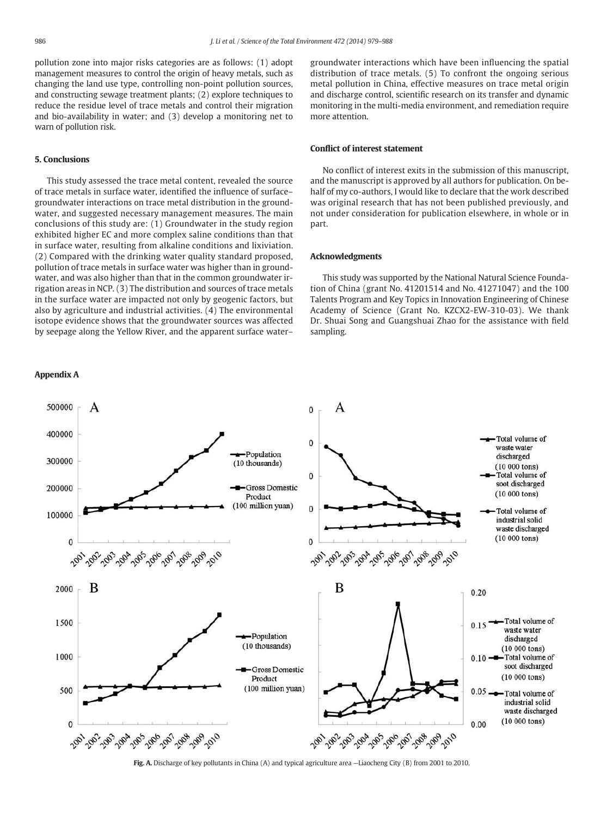<span id="page-7-0"></span>pollution zone into major risks categories are as follows: (1) adopt management measures to control the origin of heavy metals, such as changing the land use type, controlling non-point pollution sources, and constructing sewage treatment plants; (2) explore techniques to reduce the residue level of trace metals and control their migration and bio-availability in water; and (3) develop a monitoring net to warn of pollution risk.

#### 5. Conclusions

This study assessed the trace metal content, revealed the source of trace metals in surface water, identified the influence of surface– groundwater interactions on trace metal distribution in the groundwater, and suggested necessary management measures. The main conclusions of this study are: (1) Groundwater in the study region exhibited higher EC and more complex saline conditions than that in surface water, resulting from alkaline conditions and lixiviation. (2) Compared with the drinking water quality standard proposed, pollution of trace metals in surface water was higher than in groundwater, and was also higher than that in the common groundwater irrigation areas in NCP. (3) The distribution and sources of trace metals in the surface water are impacted not only by geogenic factors, but also by agriculture and industrial activities. (4) The environmental isotope evidence shows that the groundwater sources was affected by seepage along the Yellow River, and the apparent surface water–

### Appendix A

groundwater interactions which have been influencing the spatial distribution of trace metals. (5) To confront the ongoing serious metal pollution in China, effective measures on trace metal origin and discharge control, scientific research on its transfer and dynamic monitoring in the multi-media environment, and remediation require more attention.

# Conflict of interest statement

No conflict of interest exits in the submission of this manuscript, and the manuscript is approved by all authors for publication. On behalf of my co-authors, I would like to declare that the work described was original research that has not been published previously, and not under consideration for publication elsewhere, in whole or in part.

# Acknowledgments

This study was supported by the National Natural Science Foundation of China (grant No. 41201514 and No. 41271047) and the 100 Talents Program and Key Topics in Innovation Engineering of Chinese Academy of Science (Grant No. KZCX2-EW-310-03). We thank Dr. Shuai Song and Guangshuai Zhao for the assistance with field sampling.



Fig. A. Discharge of key pollutants in China (A) and typical agriculture area —Liaocheng City (B) from 2001 to 2010.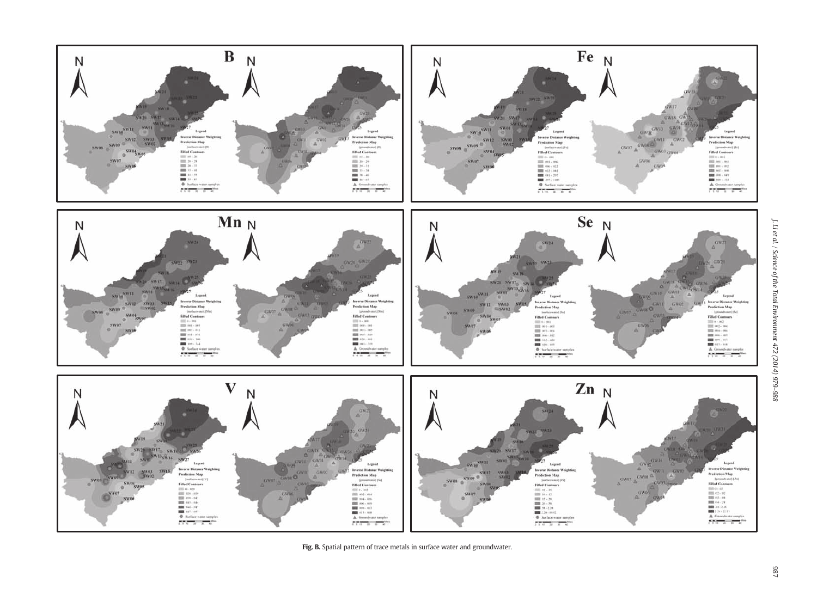<span id="page-8-0"></span>

Fig. B. Spatial pattern of trace metals in surface water and groundwater.